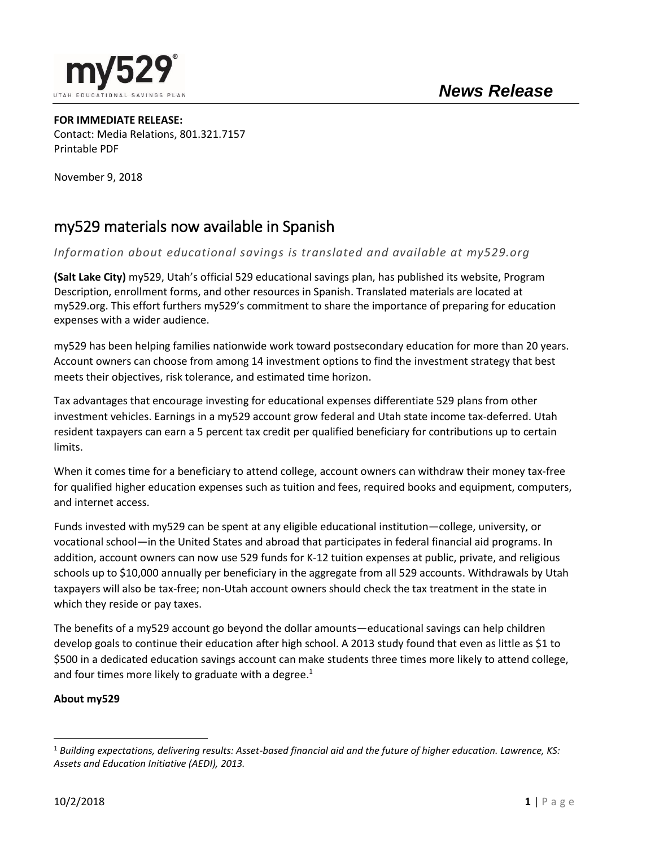

**FOR IMMEDIATE RELEASE:** Contact: Media Relations, 801.321.7157 Printable PDF

November 9, 2018

## my529 materials now available in Spanish

*Information about educational savings is translated and available at my529.org*

**(Salt Lake City)** my529, Utah's official 529 educational savings plan, has published its website, Program Description, enrollment forms, and other resources in Spanish. Translated materials are located at my529.org. This effort furthers my529's commitment to share the importance of preparing for education expenses with a wider audience.

my529 has been helping families nationwide work toward postsecondary education for more than 20 years. Account owners can choose from among 14 investment options to find the investment strategy that best meets their objectives, risk tolerance, and estimated time horizon.

Tax advantages that encourage investing for educational expenses differentiate 529 plans from other investment vehicles. Earnings in a my529 account grow federal and Utah state income tax-deferred. Utah resident taxpayers can earn a 5 percent tax credit per qualified beneficiary for contributions up to certain limits.

When it comes time for a beneficiary to attend college, account owners can withdraw their money tax-free for qualified higher education expenses such as tuition and fees, required books and equipment, computers, and internet access.

Funds invested with my529 can be spent at any eligible educational institution—college, university, or vocational school—in the United States and abroad that participates in federal financial aid programs. In addition, account owners can now use 529 funds for K-12 tuition expenses at public, private, and religious schools up to \$10,000 annually per beneficiary in the aggregate from all 529 accounts. Withdrawals by Utah taxpayers will also be tax-free; non-Utah account owners should check the tax treatment in the state in which they reside or pay taxes.

The benefits of a my529 account go beyond the dollar amounts—educational savings can help children develop goals to continue their education after high school. A 2013 study found that even as little as \$1 to \$500 in a dedicated education savings account can make students three times more likely to attend college, and four times more likely to graduate with a degree.<sup>1</sup>

## **About my529**

 $\overline{a}$ 

<sup>1</sup> *Building expectations, delivering results: Asset-based financial aid and the future of higher education. Lawrence, KS: Assets and Education Initiative (AEDI), 2013.*